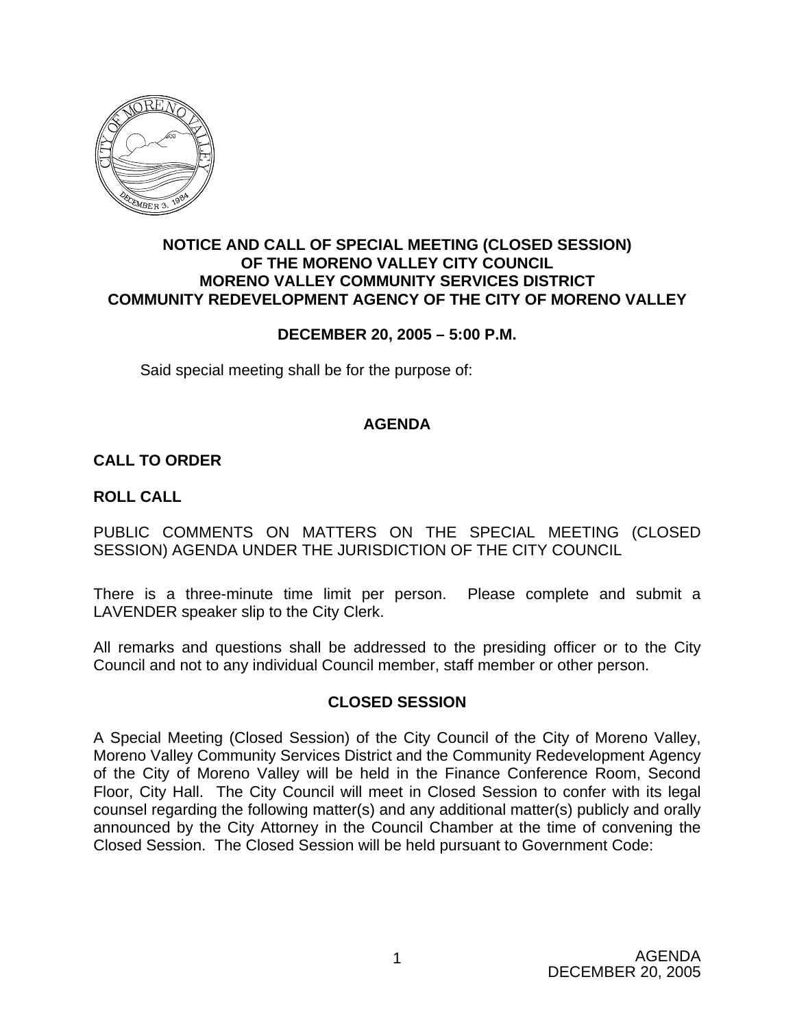

# **NOTICE AND CALL OF SPECIAL MEETING (CLOSED SESSION) OF THE MORENO VALLEY CITY COUNCIL MORENO VALLEY COMMUNITY SERVICES DISTRICT COMMUNITY REDEVELOPMENT AGENCY OF THE CITY OF MORENO VALLEY**

# **DECEMBER 20, 2005 – 5:00 P.M.**

Said special meeting shall be for the purpose of:

# **AGENDA**

# **CALL TO ORDER**

#### **ROLL CALL**

PUBLIC COMMENTS ON MATTERS ON THE SPECIAL MEETING (CLOSED SESSION) AGENDA UNDER THE JURISDICTION OF THE CITY COUNCIL

There is a three-minute time limit per person. Please complete and submit a LAVENDER speaker slip to the City Clerk.

All remarks and questions shall be addressed to the presiding officer or to the City Council and not to any individual Council member, staff member or other person.

# **CLOSED SESSION**

A Special Meeting (Closed Session) of the City Council of the City of Moreno Valley, Moreno Valley Community Services District and the Community Redevelopment Agency of the City of Moreno Valley will be held in the Finance Conference Room, Second Floor, City Hall. The City Council will meet in Closed Session to confer with its legal counsel regarding the following matter(s) and any additional matter(s) publicly and orally announced by the City Attorney in the Council Chamber at the time of convening the Closed Session. The Closed Session will be held pursuant to Government Code: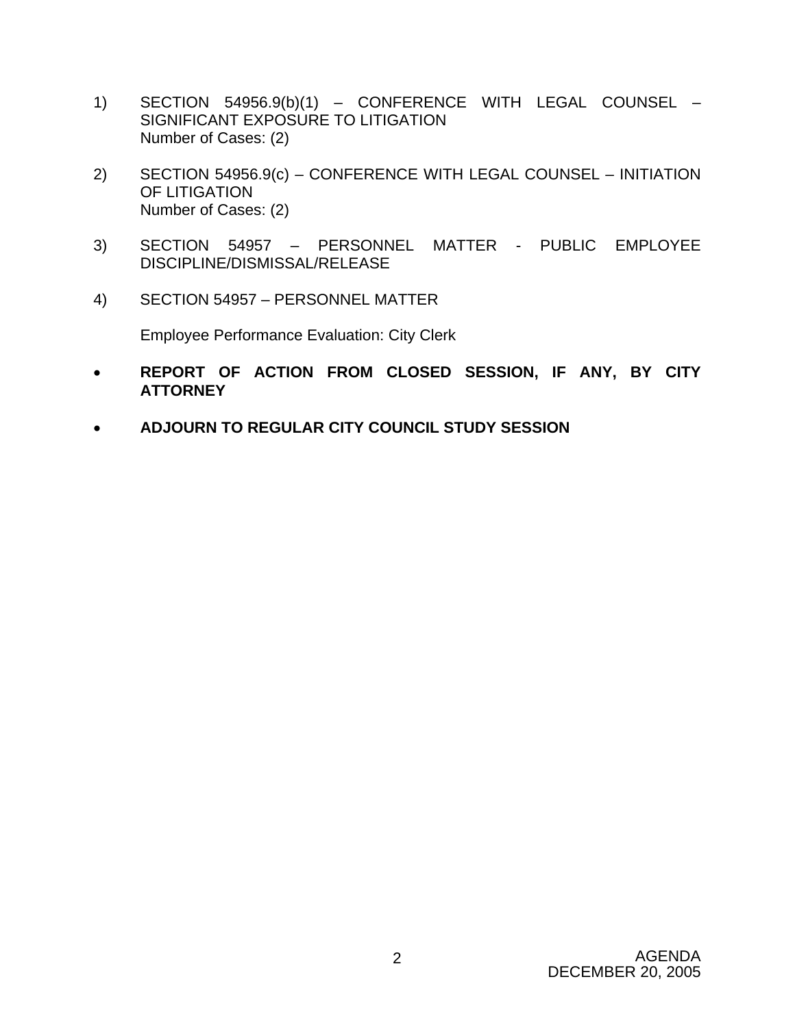- 1) SECTION 54956.9(b)(1) CONFERENCE WITH LEGAL COUNSEL SIGNIFICANT EXPOSURE TO LITIGATION Number of Cases: (2)
- 2) SECTION 54956.9(c) CONFERENCE WITH LEGAL COUNSEL INITIATION OF LITIGATION Number of Cases: (2)
- 3) SECTION 54957 PERSONNEL MATTER PUBLIC EMPLOYEE DISCIPLINE/DISMISSAL/RELEASE
- 4) SECTION 54957 PERSONNEL MATTER

Employee Performance Evaluation: City Clerk

- **REPORT OF ACTION FROM CLOSED SESSION, IF ANY, BY CITY ATTORNEY**
- **ADJOURN TO REGULAR CITY COUNCIL STUDY SESSION**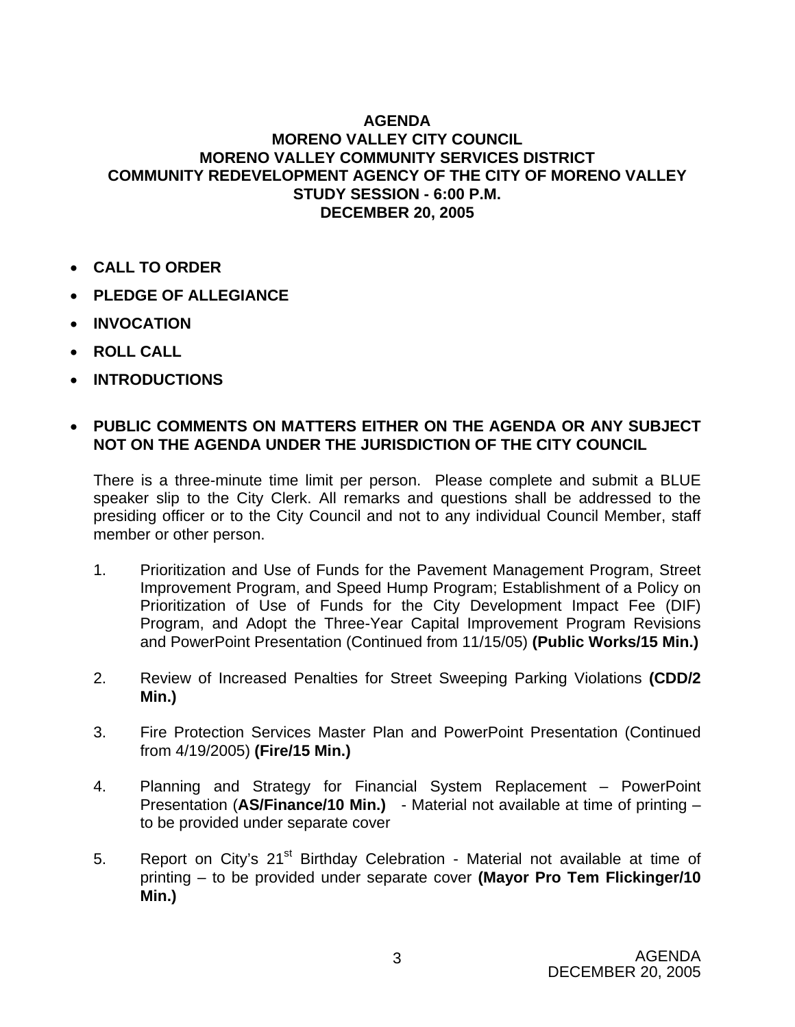# **AGENDA MORENO VALLEY CITY COUNCIL MORENO VALLEY COMMUNITY SERVICES DISTRICT COMMUNITY REDEVELOPMENT AGENCY OF THE CITY OF MORENO VALLEY STUDY SESSION - 6:00 P.M. DECEMBER 20, 2005**

- **CALL TO ORDER**
- **PLEDGE OF ALLEGIANCE**
- **INVOCATION**
- **ROLL CALL**
- **INTRODUCTIONS**

# • **PUBLIC COMMENTS ON MATTERS EITHER ON THE AGENDA OR ANY SUBJECT NOT ON THE AGENDA UNDER THE JURISDICTION OF THE CITY COUNCIL**

There is a three-minute time limit per person. Please complete and submit a BLUE speaker slip to the City Clerk. All remarks and questions shall be addressed to the presiding officer or to the City Council and not to any individual Council Member, staff member or other person.

- 1. Prioritization and Use of Funds for the Pavement Management Program, Street Improvement Program, and Speed Hump Program; Establishment of a Policy on Prioritization of Use of Funds for the City Development Impact Fee (DIF) Program, and Adopt the Three-Year Capital Improvement Program Revisions and PowerPoint Presentation (Continued from 11/15/05) **(Public Works/15 Min.)**
- 2. Review of Increased Penalties for Street Sweeping Parking Violations **(CDD/2 Min.)**
- 3. Fire Protection Services Master Plan and PowerPoint Presentation (Continued from 4/19/2005) **(Fire/15 Min.)**
- 4. Planning and Strategy for Financial System Replacement PowerPoint Presentation (**AS/Finance/10 Min.)** - Material not available at time of printing – to be provided under separate cover
- 5. Report on City's 21<sup>st</sup> Birthday Celebration Material not available at time of printing – to be provided under separate cover **(Mayor Pro Tem Flickinger/10 Min.)**